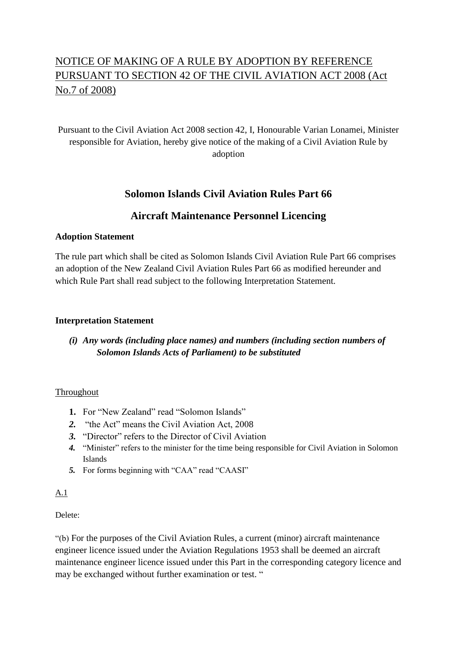# NOTICE OF MAKING OF A RULE BY ADOPTION BY REFERENCE PURSUANT TO SECTION 42 OF THE CIVIL AVIATION ACT 2008 (Act No.7 of 2008)

# Pursuant to the Civil Aviation Act 2008 section 42, I, Honourable Varian Lonamei, Minister responsible for Aviation, hereby give notice of the making of a Civil Aviation Rule by adoption

# **Solomon Islands Civil Aviation Rules Part 66**

# **Aircraft Maintenance Personnel Licencing**

### **Adoption Statement**

The rule part which shall be cited as Solomon Islands Civil Aviation Rule Part 66 comprises an adoption of the New Zealand Civil Aviation Rules Part 66 as modified hereunder and which Rule Part shall read subject to the following Interpretation Statement.

### **Interpretation Statement**

## *(i) Any words (including place names) and numbers (including section numbers of Solomon Islands Acts of Parliament) to be substituted*

### Throughout

- **1.** For "New Zealand" read "Solomon Islands"
- *2.* "the Act" means the Civil Aviation Act, 2008
- *3.* "Director" refers to the Director of Civil Aviation
- *4.* "Minister" refers to the minister for the time being responsible for Civil Aviation in Solomon Islands
- *5.* For forms beginning with "CAA" read "CAASI"

### A.1

## Delete:

"(b) For the purposes of the Civil Aviation Rules, a current (minor) aircraft maintenance engineer licence issued under the Aviation Regulations 1953 shall be deemed an aircraft maintenance engineer licence issued under this Part in the corresponding category licence and may be exchanged without further examination or test. "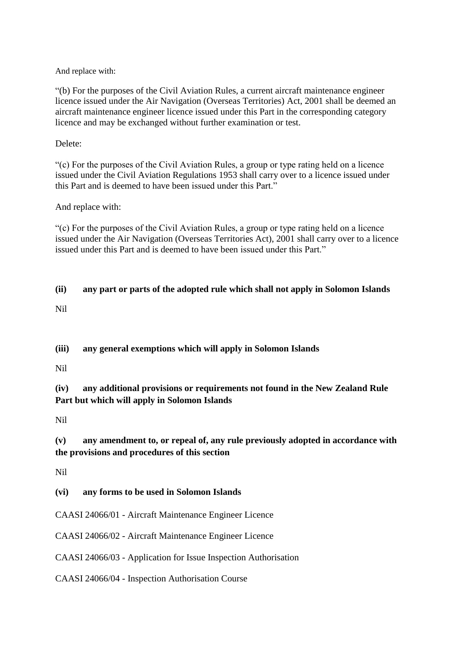And replace with:

"(b) For the purposes of the Civil Aviation Rules, a current aircraft maintenance engineer licence issued under the Air Navigation (Overseas Territories) Act, 2001 shall be deemed an aircraft maintenance engineer licence issued under this Part in the corresponding category licence and may be exchanged without further examination or test.

Delete:

"(c) For the purposes of the Civil Aviation Rules, a group or type rating held on a licence issued under the Civil Aviation Regulations 1953 shall carry over to a licence issued under this Part and is deemed to have been issued under this Part."

And replace with:

"(c) For the purposes of the Civil Aviation Rules, a group or type rating held on a licence issued under the Air Navigation (Overseas Territories Act), 2001 shall carry over to a licence issued under this Part and is deemed to have been issued under this Part."

# **(ii) any part or parts of the adopted rule which shall not apply in Solomon Islands** Nil

**(iii) any general exemptions which will apply in Solomon Islands**

Nil

**(iv) any additional provisions or requirements not found in the New Zealand Rule Part but which will apply in Solomon Islands**

Nil

## **(v) any amendment to, or repeal of, any rule previously adopted in accordance with the provisions and procedures of this section**

Nil

### **(vi) any forms to be used in Solomon Islands**

CAASI 24066/01 - [Aircraft Maintenance Engineer Licence](http://www.caa.govt.nz/Forms/24066-01.pdf)

CAASI 24066/02 - [Aircraft Maintenance Engineer Licence](http://www.caa.govt.nz/Forms/24066-02.pdf)

CAASI 24066/03 - [Application for Issue Inspection Authorisation](http://www.caa.govt.nz/Forms/24066-03.pdf)

CAASI 24066/04 - [Inspection Authorisation Course](http://www.caa.govt.nz/Forms/24066-04.pdf)